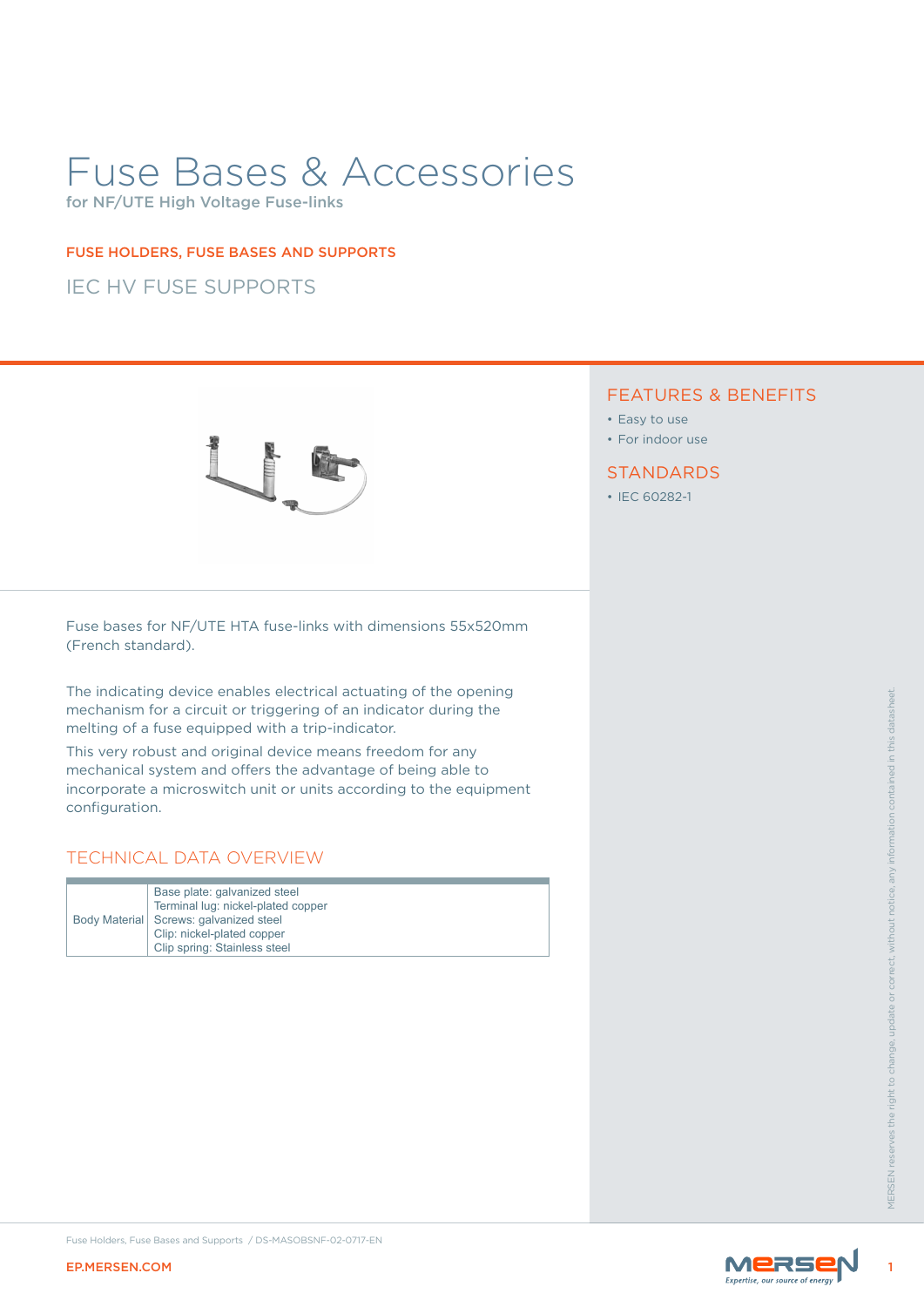# Fuse Bases & Accessories

for NF/UTE High Voltage Fuse-links

#### FUSE HOLDERS, FUSE BASES AND SUPPORTS

## IEC HV FUSE SUPPORTS



## FEATURES & BENEFITS

- Easy to use
- For indoor use

#### **STANDARDS**

• IEC 60282-1

Fuse bases for NF/UTE HTA fuse-links with dimensions 55x520mm (French standard).

The indicating device enables electrical actuating of the opening mechanism for a circuit or triggering of an indicator during the melting of a fuse equipped with a trip-indicator.

The Indicating dovide orables included to change or correct and actual or correct and the comparable or any method or any information of a risk equipment of a risk equipment of a risk equipment of a risk of the right of th This very robust and original device means freedom for any mechanical system and offers the advantage of being able to incorporate a microswitch unit or units according to the equipment configuration.

## TECHNICAL DATA OVERVIEW

|  | Base plate: galvanized steel<br>Terminal lug: nickel-plated copper<br>Body Material   Screws: galvanized steel<br>Clip: nickel-plated copper<br>Clip spring: Stainless steel |
|--|------------------------------------------------------------------------------------------------------------------------------------------------------------------------------|
|--|------------------------------------------------------------------------------------------------------------------------------------------------------------------------------|

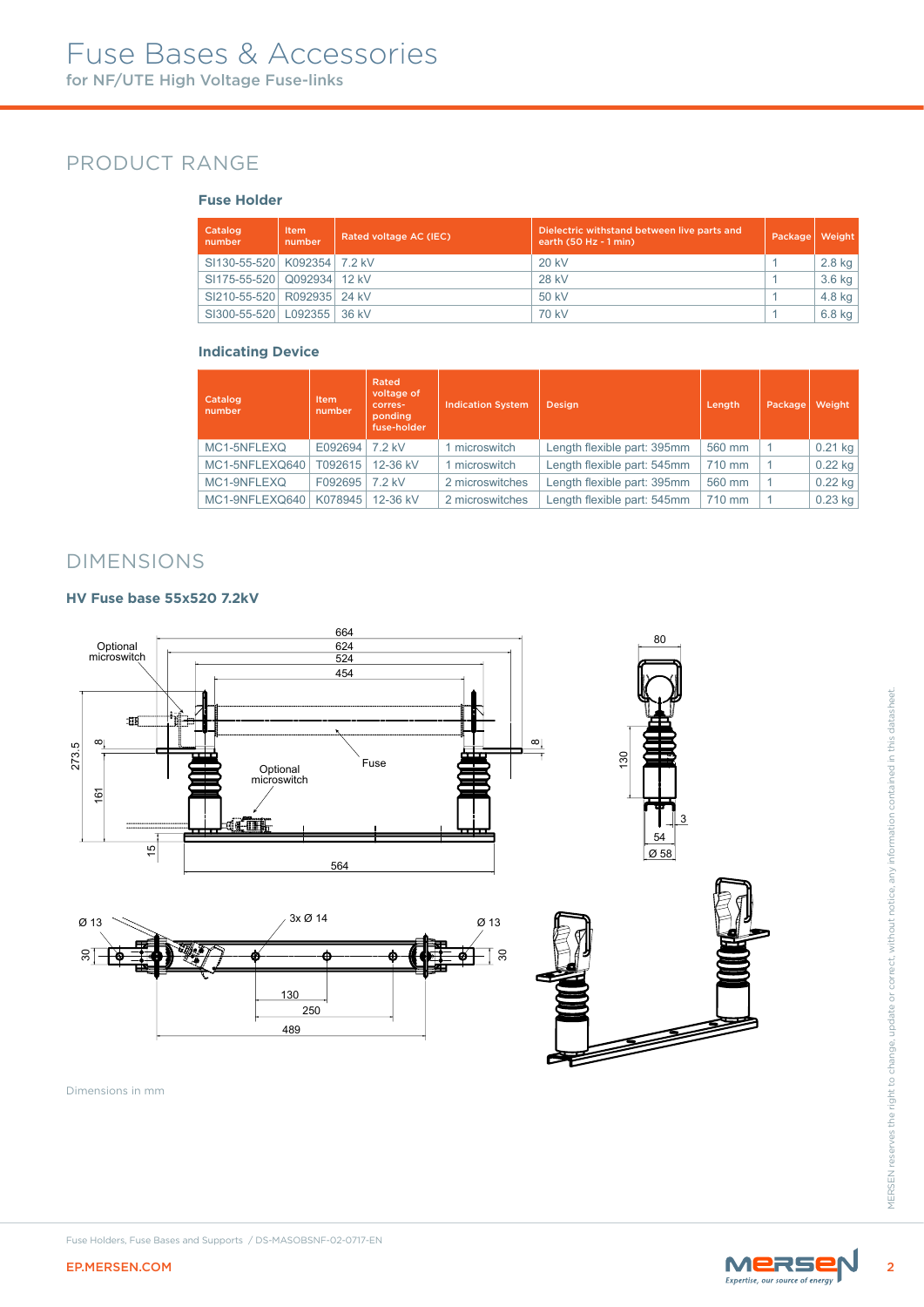# PRODUCT RANGE

#### **Fuse Holder**

| Catalog<br>number               | Item<br>number | Rated voltage AC (IEC) | Dielectric withstand between live parts and<br>earth $(50 Hz - 1 min)$ | Package | Weight   |
|---------------------------------|----------------|------------------------|------------------------------------------------------------------------|---------|----------|
| SI130-55-520   K092354   7.2 kV |                |                        | 20 kV                                                                  |         | $2.8$ kg |
| SI175-55-520 Q092934 12 kV      |                |                        | 28 kV                                                                  |         | $3.6$ kg |
| SI210-55-520 R092935 24 kV      |                |                        | $50$ kV                                                                |         | 4.8 kg   |
| SI300-55-520   L092355   36 kV  |                |                        | 70 kV                                                                  |         | $6.8$ kg |

#### **Indicating Device**

| Catalog<br>number | <b>Item</b><br>number | Rated<br>voltage of<br>corres-<br>ponding<br>fuse-holder | <b>Indication System</b> | <b>Design</b>               | Length | Package | Weight    |
|-------------------|-----------------------|----------------------------------------------------------|--------------------------|-----------------------------|--------|---------|-----------|
| MC1-5NFLEXQ       | E092694               | 7.2 kV                                                   | 1 microswitch            | Length flexible part: 395mm | 560 mm |         | $0.21$ kg |
| MC1-5NFLEXQ640    | T092615               | 12-36 kV                                                 | 1 microswitch            | Length flexible part: 545mm | 710 mm |         | $0.22$ kg |
| MC1-9NFLEXQ       | F092695               | 7.2 kV                                                   | 2 microswitches          | Length flexible part: 395mm | 560 mm |         | $0.22$ kg |
| MC1-9NFLEXQ640    | K078945               | 12-36 kV                                                 | 2 microswitches          | Length flexible part: 545mm | 710 mm |         | $0.23$ kg |

## DIMENSIONS

#### **HV Fuse base 55x520 7.2kV**







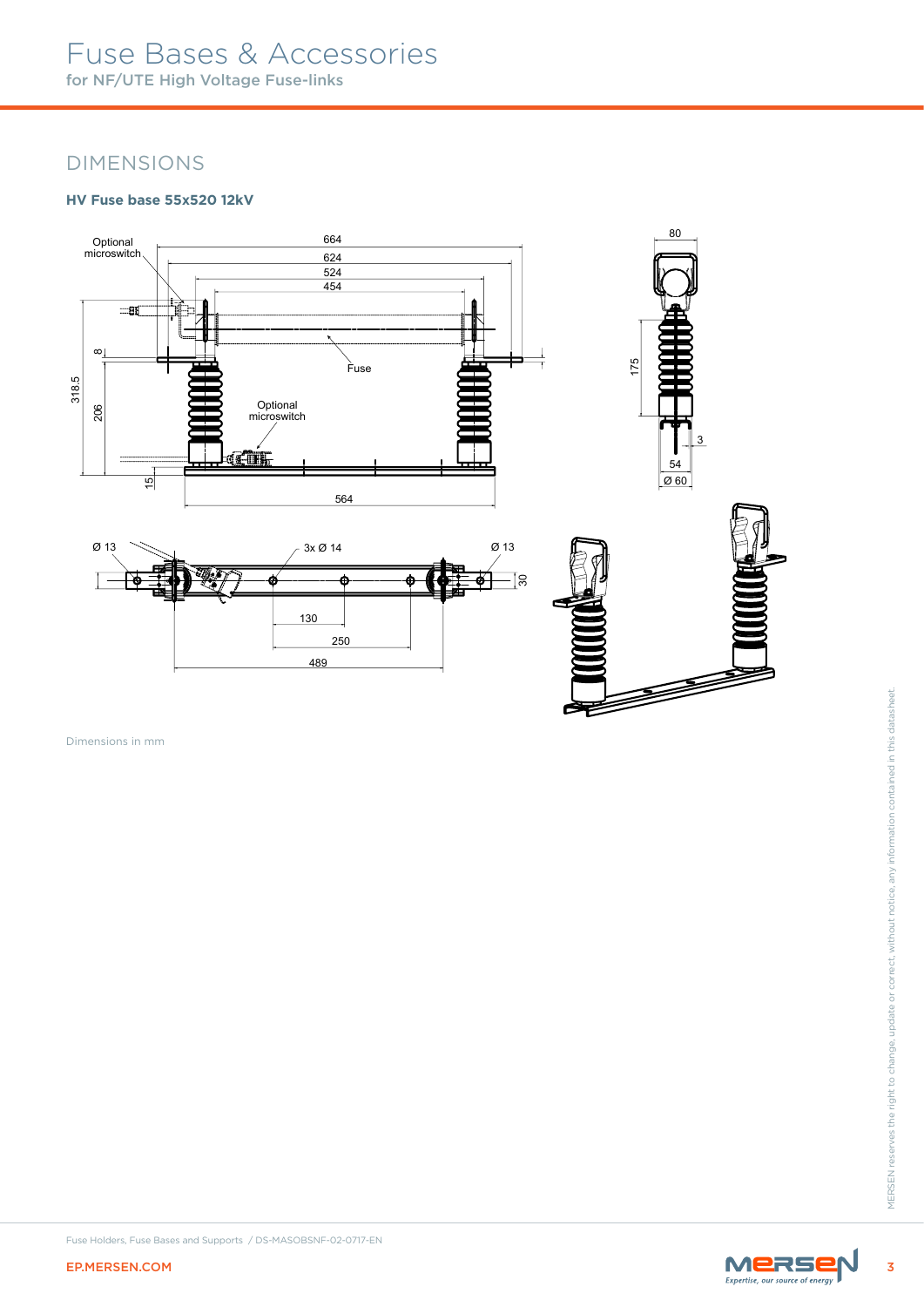# Fuse Bases & Accessories for NF/UTE High Voltage Fuse-links

## DIMENSIONS

#### **HV Fuse base 55x520 12kV**



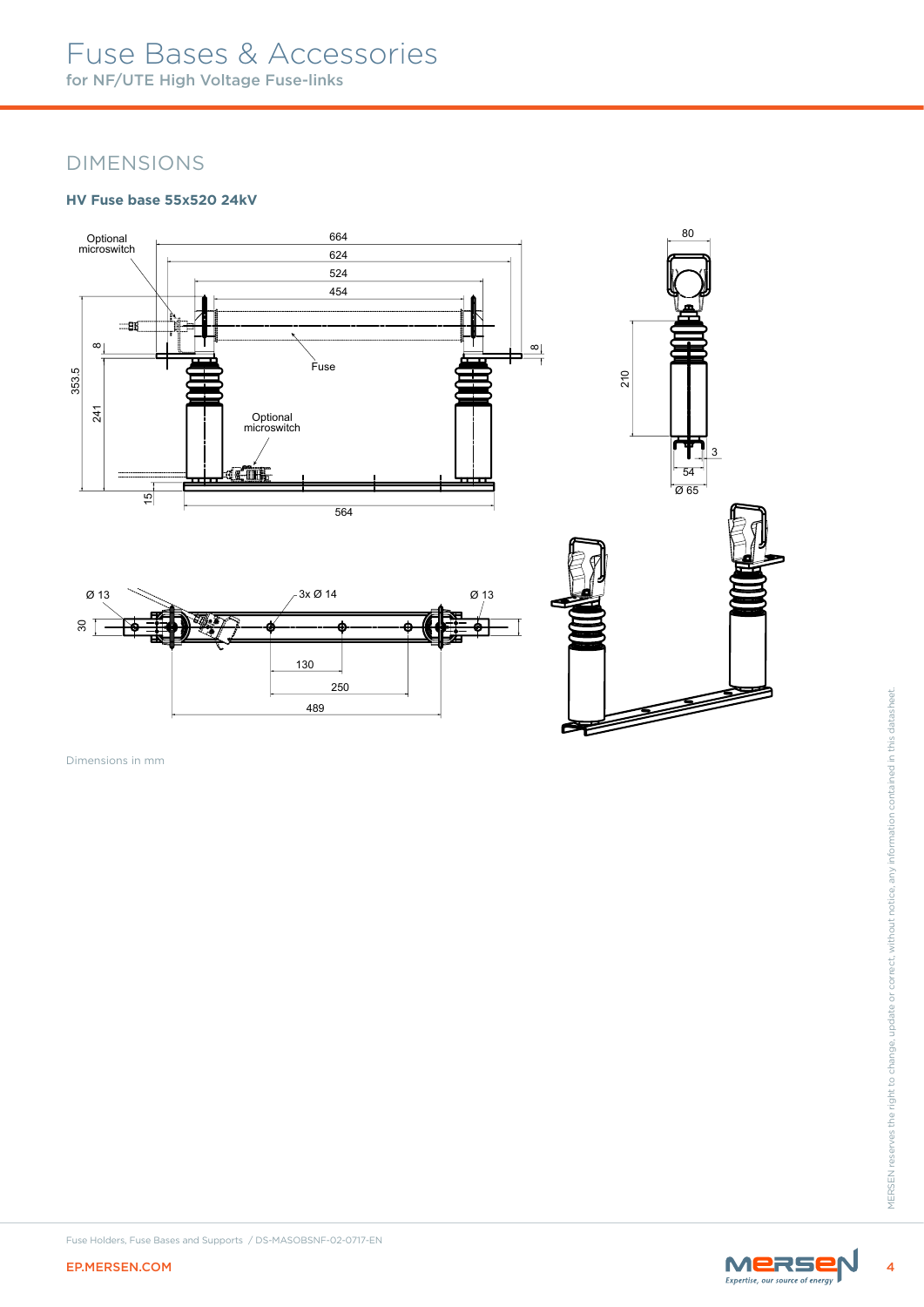# Fuse Bases & Accessories for NF/UTE High Voltage Fuse-links

## DIMENSIONS

#### **HV Fuse base 55x520 24kV**



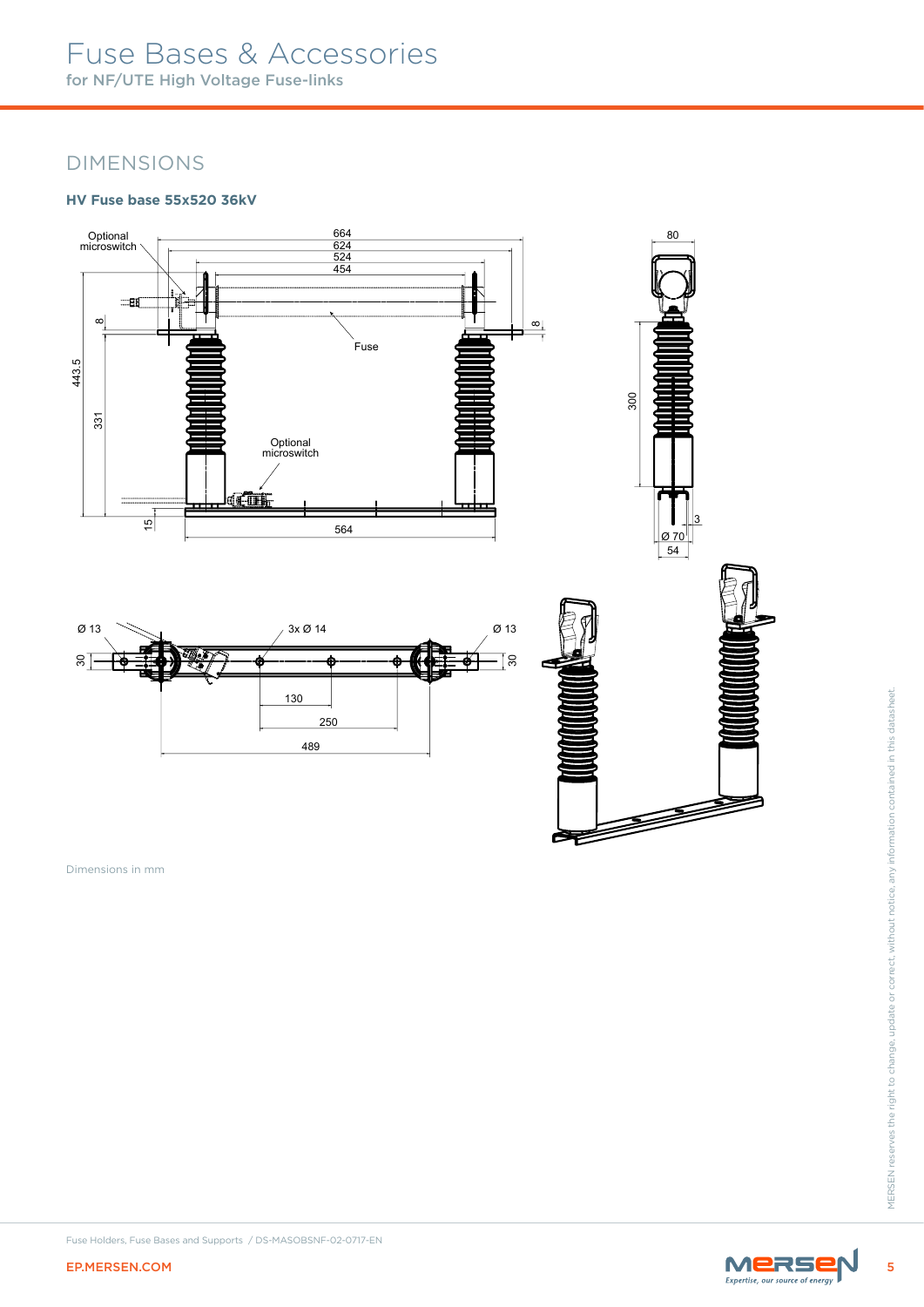# Fuse Bases & Accessories for NF/UTE High Voltage Fuse-links

## DIMENSIONS

#### **HV Fuse base 55x520 36kV**